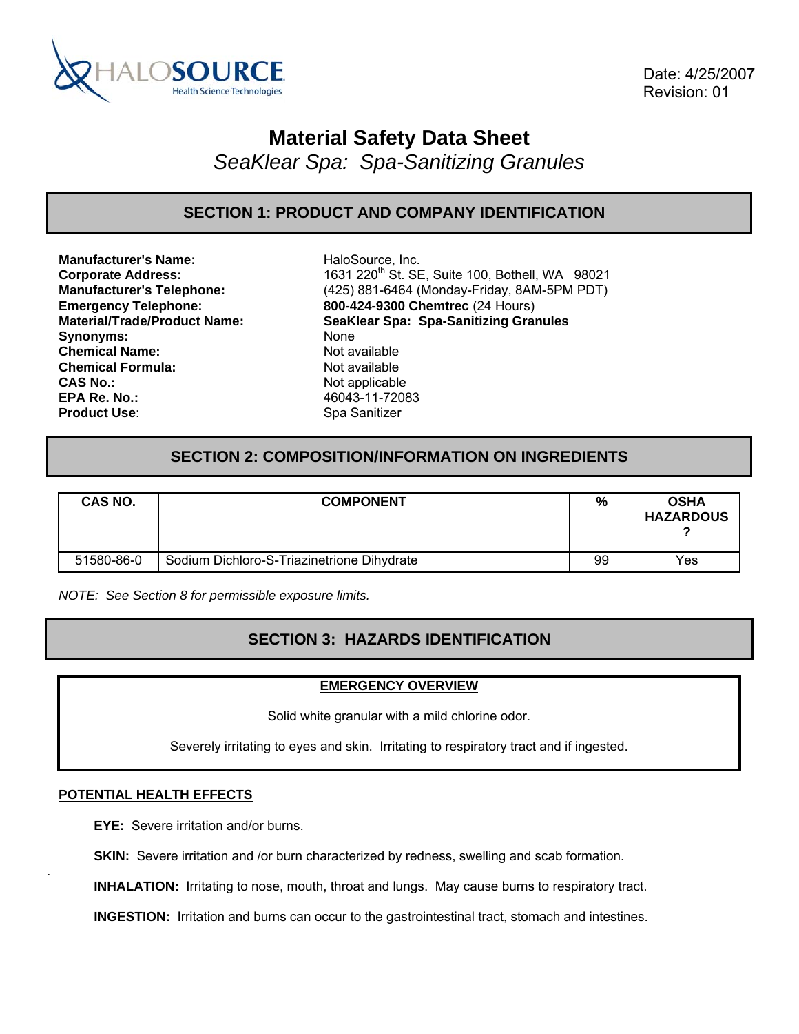

 Date: 4/25/2007 Revision: 01

# **Material Safety Data Sheet**

*SeaKlear Spa: Spa-Sanitizing Granules* 

### **SECTION 1: PRODUCT AND COMPANY IDENTIFICATION**

**Manufacturer's Name:** HaloSource, Inc. Synonyms: None **Chemical Name:** Not available **Chemical Formula:** Not available **CAS No.:** Not applicable **EPA Re. No.:** 46043-11-72083 **Product Use:** Spa Sanitizer

**Corporate Address:** 1631 220<sup>th</sup> St. SE, Suite 100, Bothell, WA 98021 **Manufacturer's Telephone:** (425) 881-6464 (Monday-Friday, 8AM-5PM PDT) **Emergency Telephone: 800-424-9300 Chemtrec** (24 Hours) **Material/Trade/Product Name: SeaKlear Spa: Spa-Sanitizing Granules**

### **SECTION 2: COMPOSITION/INFORMATION ON INGREDIENTS**

| <b>CAS NO.</b> | <b>COMPONENT</b>                           | %  | <b>OSHA</b><br><b>HAZARDOUS</b> |
|----------------|--------------------------------------------|----|---------------------------------|
| 51580-86-0     | Sodium Dichloro-S-Triazinetrione Dihydrate | 99 | Yes                             |

*NOTE: See Section 8 for permissible exposure limits.* 

### **SECTION 3: HAZARDS IDENTIFICATION**

#### **EMERGENCY OVERVIEW**

Solid white granular with a mild chlorine odor.

Severely irritating to eyes and skin. Irritating to respiratory tract and if ingested.

#### **POTENTIAL HEALTH EFFECTS**

.

**EYE:** Severe irritation and/or burns.

**SKIN:** Severe irritation and /or burn characterized by redness, swelling and scab formation.

**INHALATION:** Irritating to nose, mouth, throat and lungs. May cause burns to respiratory tract.

**INGESTION:** Irritation and burns can occur to the gastrointestinal tract, stomach and intestines.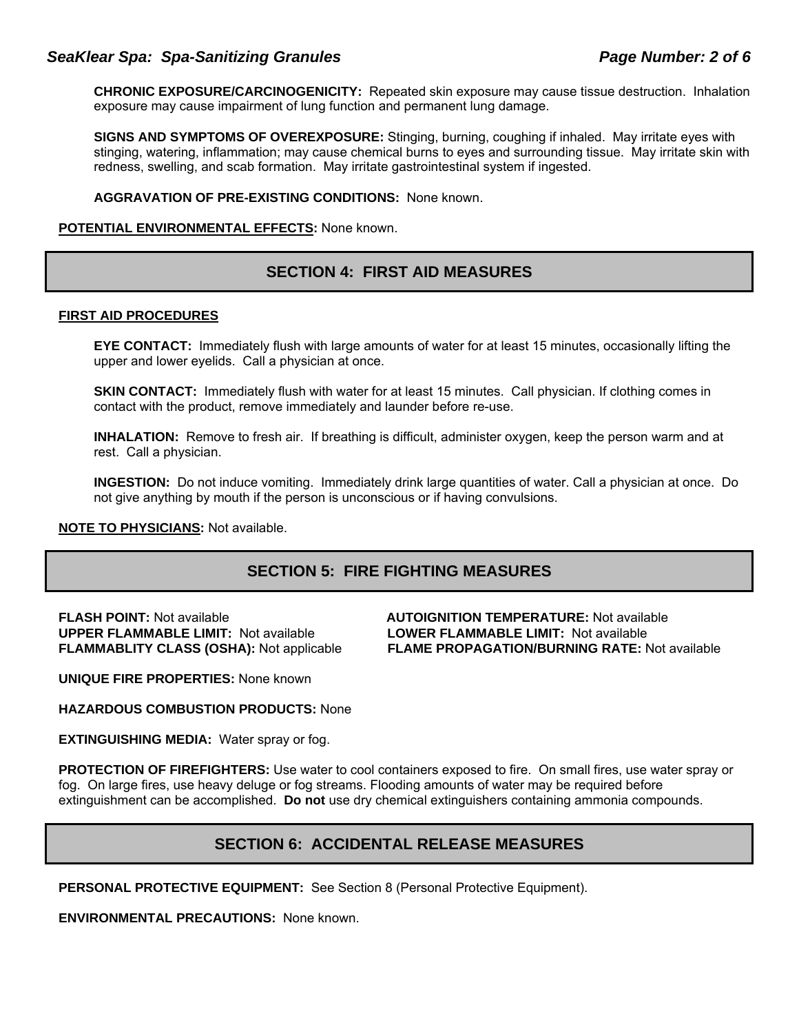### *SeaKlear Spa: Spa-Sanitizing Granules Page Number: 2 of 6*

**CHRONIC EXPOSURE/CARCINOGENICITY:** Repeated skin exposure may cause tissue destruction. Inhalation exposure may cause impairment of lung function and permanent lung damage.

**SIGNS AND SYMPTOMS OF OVEREXPOSURE:** Stinging, burning, coughing if inhaled. May irritate eyes with stinging, watering, inflammation; may cause chemical burns to eyes and surrounding tissue. May irritate skin with redness, swelling, and scab formation. May irritate gastrointestinal system if ingested.

**AGGRAVATION OF PRE-EXISTING CONDITIONS:** None known.

#### **POTENTIAL ENVIRONMENTAL EFFECTS:** None known.

### **SECTION 4: FIRST AID MEASURES**

#### **FIRST AID PROCEDURES**

**EYE CONTACT:** Immediately flush with large amounts of water for at least 15 minutes, occasionally lifting the upper and lower eyelids. Call a physician at once.

**SKIN CONTACT:** Immediately flush with water for at least 15 minutes. Call physician. If clothing comes in contact with the product, remove immediately and launder before re-use.

**INHALATION:** Remove to fresh air. If breathing is difficult, administer oxygen, keep the person warm and at rest. Call a physician.

**INGESTION:** Do not induce vomiting. Immediately drink large quantities of water. Call a physician at once. Do not give anything by mouth if the person is unconscious or if having convulsions.

#### **NOTE TO PHYSICIANS:** Not available.

### **SECTION 5: FIRE FIGHTING MEASURES**

**UPPER FLAMMABLE LIMIT: Not available** 

**FLASH POINT:** Not available **AUTOIGNITION TEMPERATURE:** Not available **FLAMMABLITY CLASS (OSHA):** Not applicable **FLAME PROPAGATION/BURNING RATE:** Not available

**UNIQUE FIRE PROPERTIES:** None known

**HAZARDOUS COMBUSTION PRODUCTS:** None

**EXTINGUISHING MEDIA:** Water spray or fog.

**PROTECTION OF FIREFIGHTERS:** Use water to cool containers exposed to fire. On small fires, use water spray or fog. On large fires, use heavy deluge or fog streams. Flooding amounts of water may be required before extinguishment can be accomplished. **Do not** use dry chemical extinguishers containing ammonia compounds.

### **SECTION 6: ACCIDENTAL RELEASE MEASURES**

**PERSONAL PROTECTIVE EQUIPMENT:** See Section 8 (Personal Protective Equipment).

**ENVIRONMENTAL PRECAUTIONS:** None known.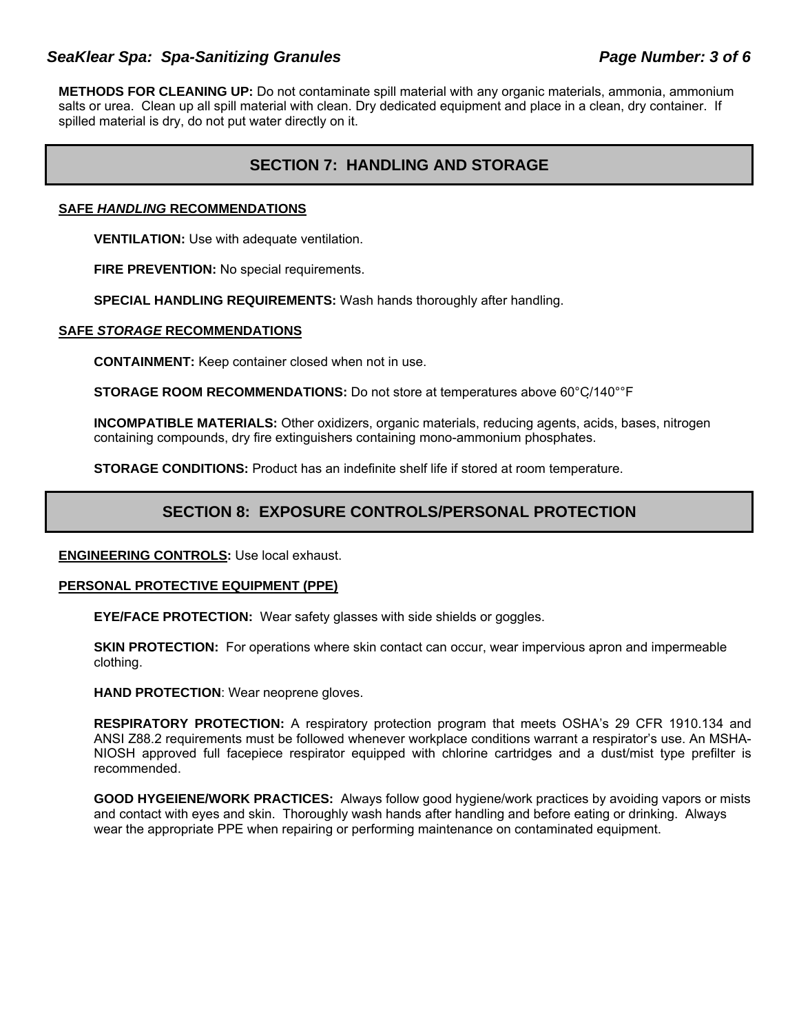### *SeaKlear Spa: Spa-Sanitizing Granules Page Number: 3 of 6*

**METHODS FOR CLEANING UP:** Do not contaminate spill material with any organic materials, ammonia, ammonium salts or urea. Clean up all spill material with clean. Dry dedicated equipment and place in a clean, dry container. If spilled material is dry, do not put water directly on it.

# **SECTION 7: HANDLING AND STORAGE**

#### **SAFE** *HANDLING* **RECOMMENDATIONS**

**VENTILATION:** Use with adequate ventilation.

**FIRE PREVENTION:** No special requirements.

**SPECIAL HANDLING REQUIREMENTS:** Wash hands thoroughly after handling.

#### **SAFE** *STORAGE* **RECOMMENDATIONS**

**CONTAINMENT:** Keep container closed when not in use.

**STORAGE ROOM RECOMMENDATIONS:** Do not store at temperatures above 60°C/140°°F

**INCOMPATIBLE MATERIALS:** Other oxidizers, organic materials, reducing agents, acids, bases, nitrogen containing compounds, dry fire extinguishers containing mono-ammonium phosphates.

**STORAGE CONDITIONS:** Product has an indefinite shelf life if stored at room temperature.

### **SECTION 8: EXPOSURE CONTROLS/PERSONAL PROTECTION**

#### **ENGINEERING CONTROLS:** Use local exhaust.

#### **PERSONAL PROTECTIVE EQUIPMENT (PPE)**

**EYE/FACE PROTECTION:** Wear safety glasses with side shields or goggles.

**SKIN PROTECTION:** For operations where skin contact can occur, wear impervious apron and impermeable clothing.

**HAND PROTECTION**: Wear neoprene gloves.

**RESPIRATORY PROTECTION:** A respiratory protection program that meets OSHA's 29 CFR 1910.134 and ANSI Z88.2 requirements must be followed whenever workplace conditions warrant a respirator's use. An MSHA-NIOSH approved full facepiece respirator equipped with chlorine cartridges and a dust/mist type prefilter is recommended.

**GOOD HYGEIENE/WORK PRACTICES:** Always follow good hygiene/work practices by avoiding vapors or mists and contact with eyes and skin. Thoroughly wash hands after handling and before eating or drinking. Always wear the appropriate PPE when repairing or performing maintenance on contaminated equipment.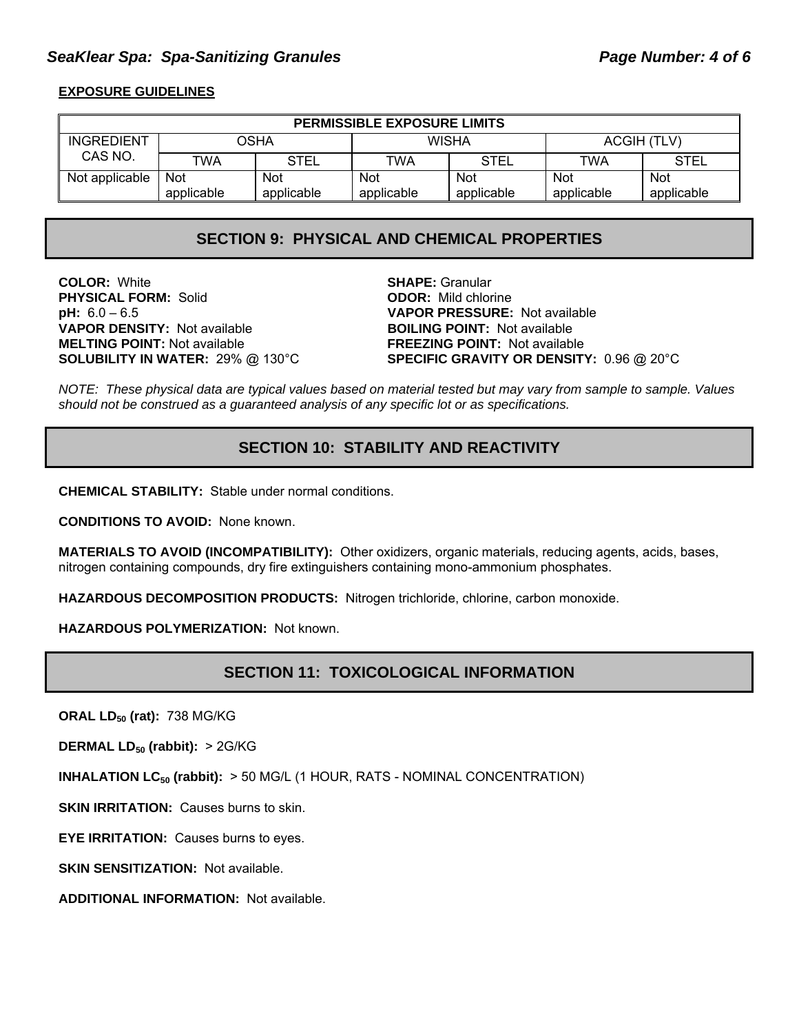### *SeaKlear Spa: Spa-Sanitizing Granules Page Number: 4 of 6*

### **EXPOSURE GUIDELINES**

| <b>PERMISSIBLE EXPOSURE LIMITS</b> |            |             |              |             |                    |             |
|------------------------------------|------------|-------------|--------------|-------------|--------------------|-------------|
| <b>INGREDIENT</b>                  | OSHA       |             | <b>WISHA</b> |             | <b>ACGIH (TLV)</b> |             |
| CAS NO.                            | TWA        | <b>STEL</b> | TWA          | <b>STEL</b> | TWA                | <b>STEL</b> |
| Not applicable                     | Not        | Not         | <b>Not</b>   | <b>Not</b>  | Not                | <b>Not</b>  |
|                                    | applicable | applicable  | applicable   | applicable  | applicable         | applicable  |

### **SECTION 9: PHYSICAL AND CHEMICAL PROPERTIES**

**COLOR:** White **SHAPE:** Granular **PHYSICAL FORM:** Solid **ODOR:** Mild chlorine **pH:** 6.0 – 6.5 **VAPOR PRESSURE:** Not available **VAPOR DENSITY: Not available MELTING POINT:** Not available **FREEZING POINT:** Not available

**SOLUBILITY IN WATER:** 29% @ 130°C **SPECIFIC GRAVITY OR DENSITY:** 0.96 @ 20°C

*NOTE: These physical data are typical values based on material tested but may vary from sample to sample. Values should not be construed as a guaranteed analysis of any specific lot or as specifications.*

# **SECTION 10: STABILITY AND REACTIVITY**

**CHEMICAL STABILITY:** Stable under normal conditions.

**CONDITIONS TO AVOID:** None known.

**MATERIALS TO AVOID (INCOMPATIBILITY):** Other oxidizers, organic materials, reducing agents, acids, bases, nitrogen containing compounds, dry fire extinguishers containing mono-ammonium phosphates.

**HAZARDOUS DECOMPOSITION PRODUCTS:** Nitrogen trichloride, chlorine, carbon monoxide.

**HAZARDOUS POLYMERIZATION:** Not known.

### **SECTION 11: TOXICOLOGICAL INFORMATION**

**ORAL LD<sub>50</sub> (rat): 738 MG/KG** 

**DERMAL LD<sub>50</sub> (rabbit): > 2G/KG** 

**INHALATION LC<sub>50</sub> (rabbit):** > 50 MG/L (1 HOUR, RATS - NOMINAL CONCENTRATION)

**SKIN IRRITATION: Causes burns to skin.** 

**EYE IRRITATION:** Causes burns to eyes.

**SKIN SENSITIZATION: Not available.** 

**ADDITIONAL INFORMATION:** Not available.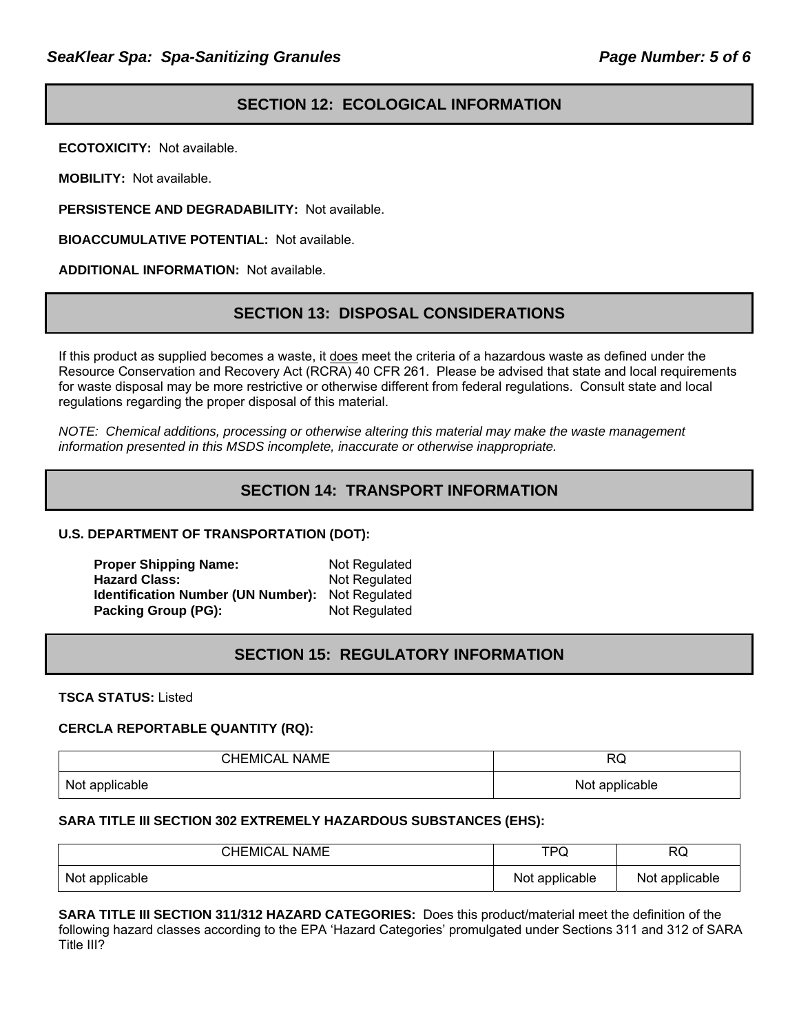# **SECTION 12: ECOLOGICAL INFORMATION**

**ECOTOXICITY:** Not available.

**MOBILITY:** Not available.

**PERSISTENCE AND DEGRADABILITY:** Not available.

**BIOACCUMULATIVE POTENTIAL:** Not available.

**ADDITIONAL INFORMATION:** Not available.

### **SECTION 13: DISPOSAL CONSIDERATIONS**

If this product as supplied becomes a waste, it does meet the criteria of a hazardous waste as defined under the Resource Conservation and Recovery Act (RCRA) 40 CFR 261. Please be advised that state and local requirements for waste disposal may be more restrictive or otherwise different from federal regulations. Consult state and local regulations regarding the proper disposal of this material.

*NOTE: Chemical additions, processing or otherwise altering this material may make the waste management information presented in this MSDS incomplete, inaccurate or otherwise inappropriate.* 

# **SECTION 14: TRANSPORT INFORMATION**

### **U.S. DEPARTMENT OF TRANSPORTATION (DOT):**

| <b>Proper Shipping Name:</b>              | Not Regulated |
|-------------------------------------------|---------------|
| <b>Hazard Class:</b>                      | Not Regulated |
| <b>Identification Number (UN Number):</b> | Not Regulated |
| Packing Group (PG):                       | Not Regulated |

### **SECTION 15: REGULATORY INFORMATION**

**TSCA STATUS:** Listed

#### **CERCLA REPORTABLE QUANTITY (RQ):**

| <b>CHEMICAL NAME</b> | <b>RQ</b>      |
|----------------------|----------------|
| Not applicable       | Not applicable |

#### **SARA TITLE III SECTION 302 EXTREMELY HAZARDOUS SUBSTANCES (EHS):**

| <b>CHEMICAL NAME</b> | TPQ            | RQ             |
|----------------------|----------------|----------------|
| Not applicable       | Not applicable | Not applicable |

**SARA TITLE III SECTION 311/312 HAZARD CATEGORIES:** Does this product/material meet the definition of the following hazard classes according to the EPA 'Hazard Categories' promulgated under Sections 311 and 312 of SARA Title III?